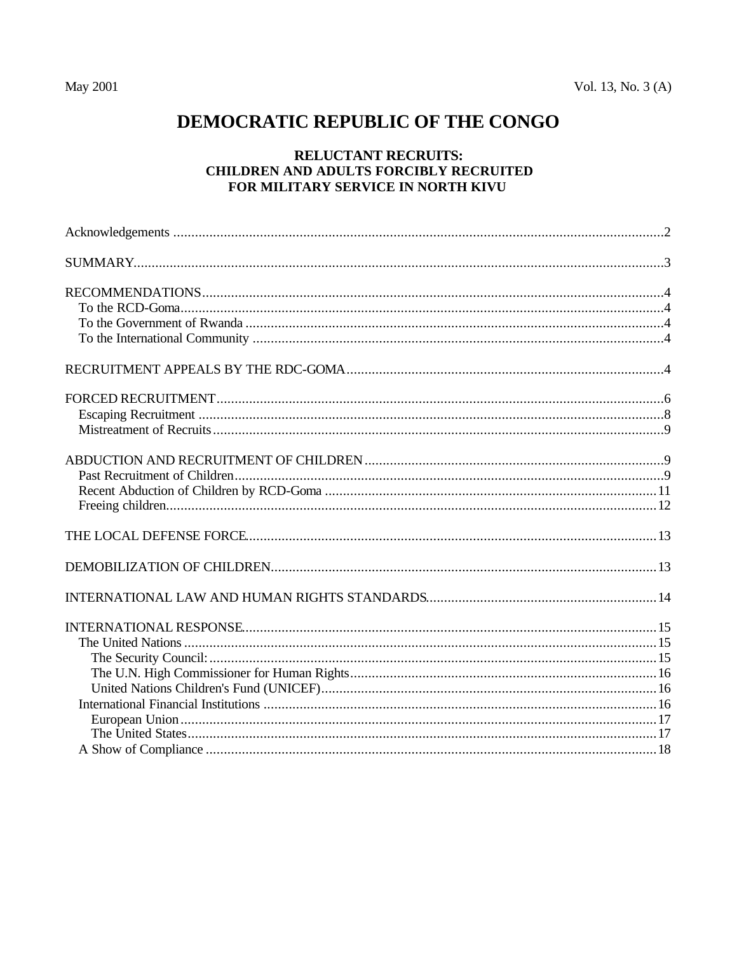# DEMOCRATIC REPUBLIC OF THE CONGO

# **RELUCTANT RECRUITS:** CHILDREN AND ADULTS FORCIBLY RECRUITED FOR MILITARY SERVICE IN NORTH KIVU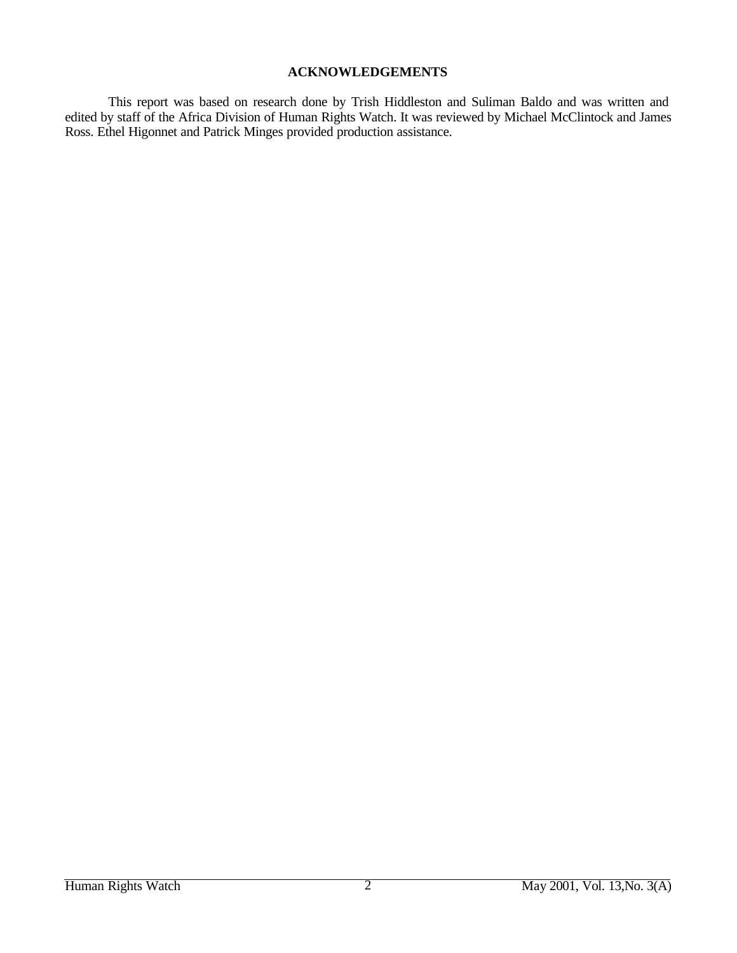# **ACKNOWLEDGEMENTS**

This report was based on research done by Trish Hiddleston and Suliman Baldo and was written and edited by staff of the Africa Division of Human Rights Watch. It was reviewed by Michael McClintock and James Ross. Ethel Higonnet and Patrick Minges provided production assistance.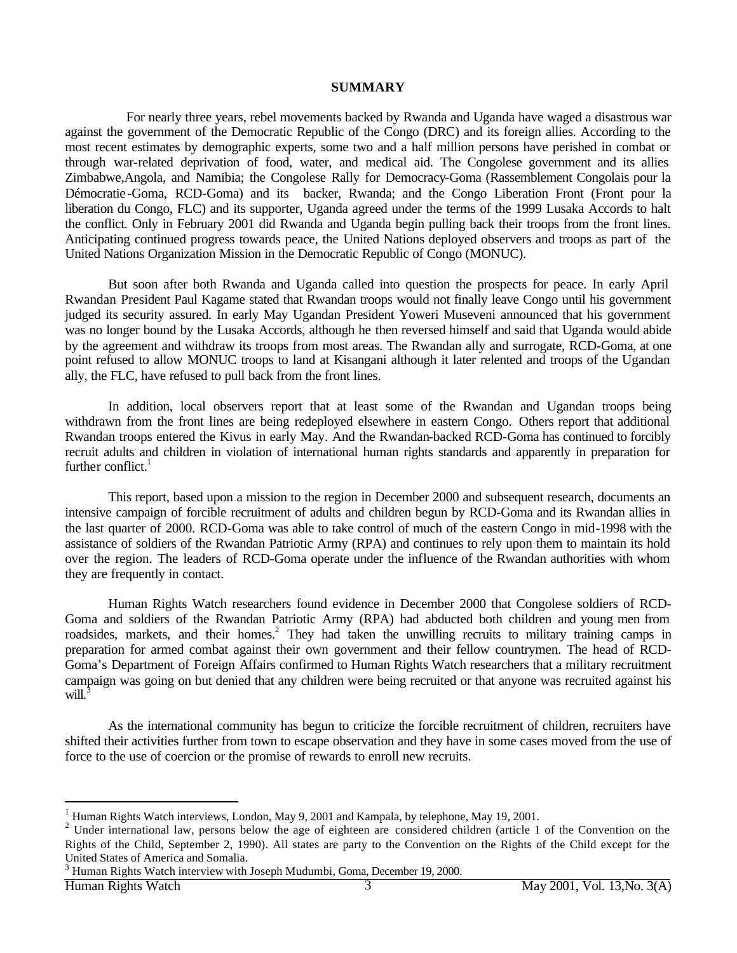#### **SUMMARY**

 For nearly three years, rebel movements backed by Rwanda and Uganda have waged a disastrous war against the government of the Democratic Republic of the Congo (DRC) and its foreign allies. According to the most recent estimates by demographic experts, some two and a half million persons have perished in combat or through war-related deprivation of food, water, and medical aid. The Congolese government and its allies Zimbabwe,Angola, and Namibia; the Congolese Rally for Democracy-Goma (Rassemblement Congolais pour la Démocratie -Goma, RCD-Goma) and its backer, Rwanda; and the Congo Liberation Front (Front pour la liberation du Congo, FLC) and its supporter, Uganda agreed under the terms of the 1999 Lusaka Accords to halt the conflict. Only in February 2001 did Rwanda and Uganda begin pulling back their troops from the front lines. Anticipating continued progress towards peace, the United Nations deployed observers and troops as part of the United Nations Organization Mission in the Democratic Republic of Congo (MONUC).

But soon after both Rwanda and Uganda called into question the prospects for peace. In early April Rwandan President Paul Kagame stated that Rwandan troops would not finally leave Congo until his government judged its security assured. In early May Ugandan President Yoweri Museveni announced that his government was no longer bound by the Lusaka Accords, although he then reversed himself and said that Uganda would abide by the agreement and withdraw its troops from most areas. The Rwandan ally and surrogate, RCD-Goma, at one point refused to allow MONUC troops to land at Kisangani although it later relented and troops of the Ugandan ally, the FLC, have refused to pull back from the front lines.

In addition, local observers report that at least some of the Rwandan and Ugandan troops being withdrawn from the front lines are being redeployed elsewhere in eastern Congo. Others report that additional Rwandan troops entered the Kivus in early May. And the Rwandan-backed RCD-Goma has continued to forcibly recruit adults and children in violation of international human rights standards and apparently in preparation for further conflict. $<sup>1</sup>$ </sup>

This report, based upon a mission to the region in December 2000 and subsequent research, documents an intensive campaign of forcible recruitment of adults and children begun by RCD-Goma and its Rwandan allies in the last quarter of 2000. RCD-Goma was able to take control of much of the eastern Congo in mid-1998 with the assistance of soldiers of the Rwandan Patriotic Army (RPA) and continues to rely upon them to maintain its hold over the region. The leaders of RCD-Goma operate under the influence of the Rwandan authorities with whom they are frequently in contact.

Human Rights Watch researchers found evidence in December 2000 that Congolese soldiers of RCD-Goma and soldiers of the Rwandan Patriotic Army (RPA) had abducted both children and young men from roadsides, markets, and their homes.<sup>2</sup> They had taken the unwilling recruits to military training camps in preparation for armed combat against their own government and their fellow countrymen. The head of RCD-Goma's Department of Foreign Affairs confirmed to Human Rights Watch researchers that a military recruitment campaign was going on but denied that any children were being recruited or that anyone was recruited against his will.<sup>3</sup>

As the international community has begun to criticize the forcible recruitment of children, recruiters have shifted their activities further from town to escape observation and they have in some cases moved from the use of force to the use of coercion or the promise of rewards to enroll new recruits.

 $\overline{\phantom{a}}$ 

<sup>&</sup>lt;sup>1</sup> Human Rights Watch interviews, London, May 9, 2001 and Kampala, by telephone, May 19, 2001.

<sup>&</sup>lt;sup>2</sup> Under international law, persons below the age of eighteen are considered children (article 1 of the Convention on the Rights of the Child, September 2, 1990). All states are party to the Convention on the Rights of the Child except for the United States of America and Somalia.

<sup>3</sup> Human Rights Watch interview with Joseph Mudumbi, Goma, December 19, 2000.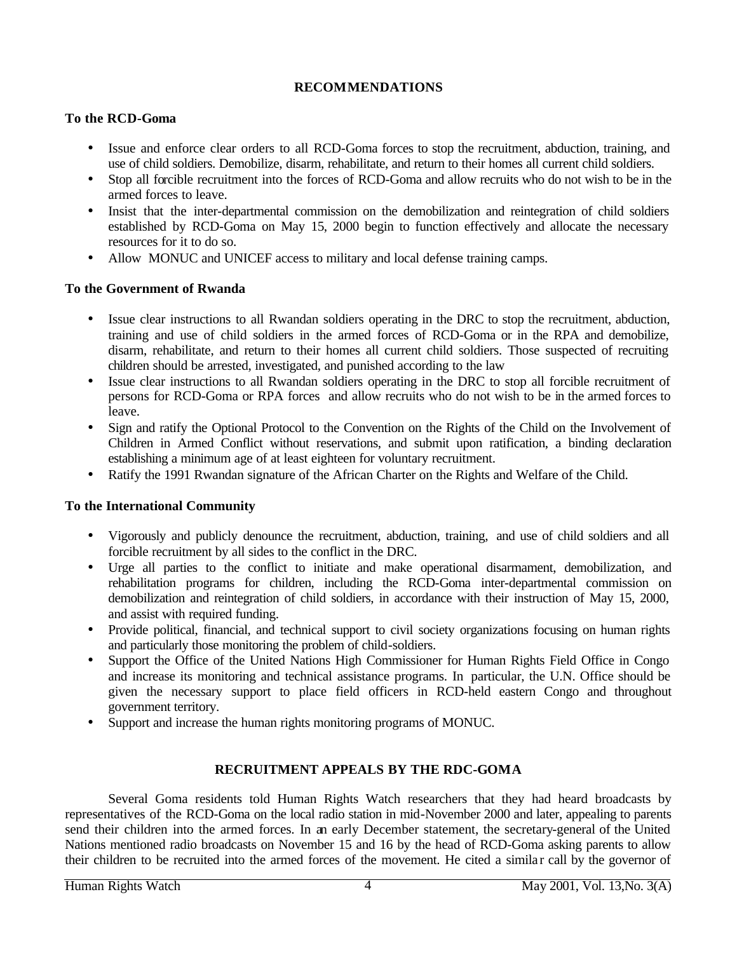# **RECOMMENDATIONS**

# **To the RCD-Goma**

- Issue and enforce clear orders to all RCD-Goma forces to stop the recruitment, abduction, training, and use of child soldiers. Demobilize, disarm, rehabilitate, and return to their homes all current child soldiers.
- Stop all forcible recruitment into the forces of RCD-Goma and allow recruits who do not wish to be in the armed forces to leave.
- Insist that the inter-departmental commission on the demobilization and reintegration of child soldiers established by RCD-Goma on May 15, 2000 begin to function effectively and allocate the necessary resources for it to do so.
- Allow MONUC and UNICEF access to military and local defense training camps.

# **To the Government of Rwanda**

- Issue clear instructions to all Rwandan soldiers operating in the DRC to stop the recruitment, abduction, training and use of child soldiers in the armed forces of RCD-Goma or in the RPA and demobilize, disarm, rehabilitate, and return to their homes all current child soldiers. Those suspected of recruiting children should be arrested, investigated, and punished according to the law
- Issue clear instructions to all Rwandan soldiers operating in the DRC to stop all forcible recruitment of persons for RCD-Goma or RPA forces and allow recruits who do not wish to be in the armed forces to leave.
- Sign and ratify the Optional Protocol to the Convention on the Rights of the Child on the Involvement of Children in Armed Conflict without reservations, and submit upon ratification, a binding declaration establishing a minimum age of at least eighteen for voluntary recruitment.
- Ratify the 1991 Rwandan signature of the African Charter on the Rights and Welfare of the Child.

# **To the International Community**

- Vigorously and publicly denounce the recruitment, abduction, training, and use of child soldiers and all forcible recruitment by all sides to the conflict in the DRC.
- Urge all parties to the conflict to initiate and make operational disarmament, demobilization, and rehabilitation programs for children, including the RCD-Goma inter-departmental commission on demobilization and reintegration of child soldiers, in accordance with their instruction of May 15, 2000, and assist with required funding.
- Provide political, financial, and technical support to civil society organizations focusing on human rights and particularly those monitoring the problem of child-soldiers.
- Support the Office of the United Nations High Commissioner for Human Rights Field Office in Congo and increase its monitoring and technical assistance programs. In particular, the U.N. Office should be given the necessary support to place field officers in RCD-held eastern Congo and throughout government territory.
- Support and increase the human rights monitoring programs of MONUC.

# **RECRUITMENT APPEALS BY THE RDC-GOMA**

Several Goma residents told Human Rights Watch researchers that they had heard broadcasts by representatives of the RCD-Goma on the local radio station in mid-November 2000 and later, appealing to parents send their children into the armed forces. In an early December statement, the secretary-general of the United Nations mentioned radio broadcasts on November 15 and 16 by the head of RCD-Goma asking parents to allow their children to be recruited into the armed forces of the movement. He cited a similar call by the governor of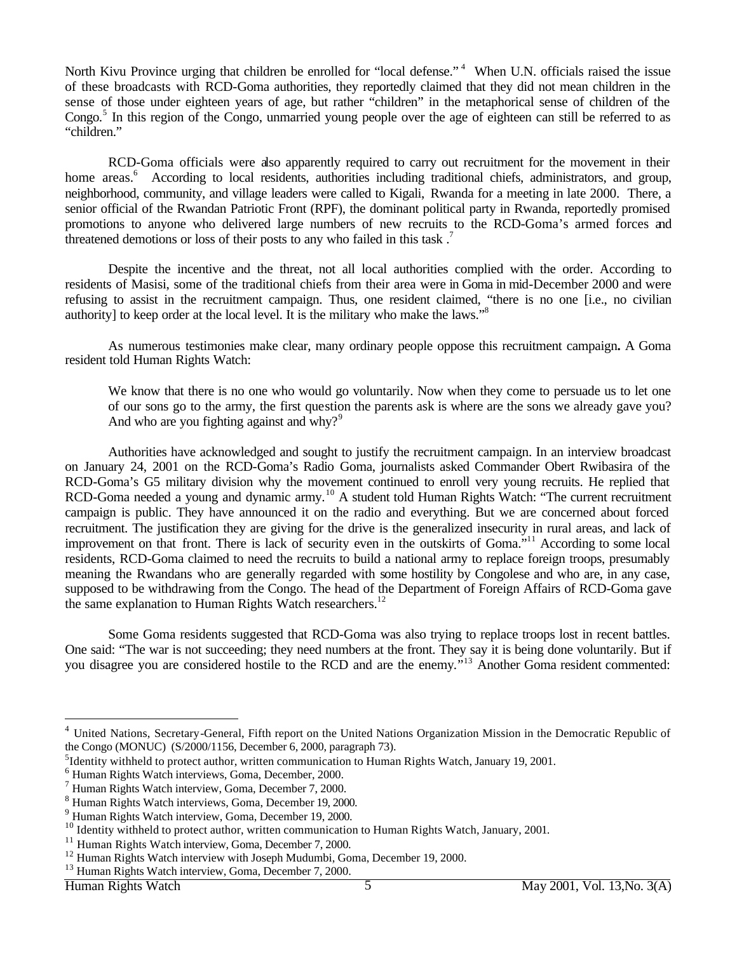North Kivu Province urging that children be enrolled for "local defense."<sup>4</sup> When U.N. officials raised the issue of these broadcasts with RCD-Goma authorities, they reportedly claimed that they did not mean children in the sense of those under eighteen years of age, but rather "children" in the metaphorical sense of children of the Congo.<sup>5</sup> In this region of the Congo, unmarried young people over the age of eighteen can still be referred to as "children."

RCD-Goma officials were also apparently required to carry out recruitment for the movement in their home areas.<sup>6</sup> According to local residents, authorities including traditional chiefs, administrators, and group, neighborhood, community, and village leaders were called to Kigali, Rwanda for a meeting in late 2000. There, a senior official of the Rwandan Patriotic Front (RPF), the dominant political party in Rwanda, reportedly promised promotions to anyone who delivered large numbers of new recruits to the RCD-Goma's armed forces and threatened demotions or loss of their posts to any who failed in this task.<sup>7</sup>

Despite the incentive and the threat, not all local authorities complied with the order. According to residents of Masisi, some of the traditional chiefs from their area were in Goma in mid-December 2000 and were refusing to assist in the recruitment campaign. Thus, one resident claimed, "there is no one [i.e., no civilian authority] to keep order at the local level. It is the military who make the laws."<sup>8</sup>

As numerous testimonies make clear, many ordinary people oppose this recruitment campaign**.** A Goma resident told Human Rights Watch:

We know that there is no one who would go voluntarily. Now when they come to persuade us to let one of our sons go to the army, the first question the parents ask is where are the sons we already gave you? And who are you fighting against and why? $9^9$ 

Authorities have acknowledged and sought to justify the recruitment campaign. In an interview broadcast on January 24, 2001 on the RCD-Goma's Radio Goma, journalists asked Commander Obert Rwibasira of the RCD-Goma's G5 military division why the movement continued to enroll very young recruits. He replied that RCD-Goma needed a young and dynamic army.<sup>10</sup> A student told Human Rights Watch: "The current recruitment campaign is public. They have announced it on the radio and everything. But we are concerned about forced recruitment. The justification they are giving for the drive is the generalized insecurity in rural areas, and lack of improvement on that front. There is lack of security even in the outskirts of Goma."<sup>11</sup> According to some local residents, RCD-Goma claimed to need the recruits to build a national army to replace foreign troops, presumably meaning the Rwandans who are generally regarded with some hostility by Congolese and who are, in any case, supposed to be withdrawing from the Congo. The head of the Department of Foreign Affairs of RCD-Goma gave the same explanation to Human Rights Watch researchers.<sup>12</sup>

Some Goma residents suggested that RCD-Goma was also trying to replace troops lost in recent battles. One said: "The war is not succeeding; they need numbers at the front. They say it is being done voluntarily. But if you disagree you are considered hostile to the RCD and are the enemy*.*" <sup>13</sup> Another Goma resident commented:

 $\overline{\phantom{a}}$ 

<sup>4</sup> United Nations, Secretary-General, Fifth report on the United Nations Organization Mission in the Democratic Republic of the Congo (MONUC) (S/2000/1156, December 6, 2000, paragraph 73).

<sup>&</sup>lt;sup>5</sup>Identity withheld to protect author, written communication to Human Rights Watch, January 19, 2001.

<sup>6</sup> Human Rights Watch interviews, Goma, December, 2000.

<sup>7</sup> Human Rights Watch interview, Goma, December 7, 2000.

<sup>&</sup>lt;sup>8</sup> Human Rights Watch interviews, Goma, December 19, 2000.

<sup>9</sup> Human Rights Watch interview, Goma, December 19, 2000.

<sup>&</sup>lt;sup>10</sup> Identity withheld to protect author, written communication to Human Rights Watch, January, 2001.

<sup>&</sup>lt;sup>11</sup> Human Rights Watch interview, Goma, December 7, 2000.

<sup>&</sup>lt;sup>12</sup> Human Rights Watch interview with Joseph Mudumbi, Goma, December 19, 2000. <sup>13</sup> Human Rights Watch interview, Goma, December 7, 2000.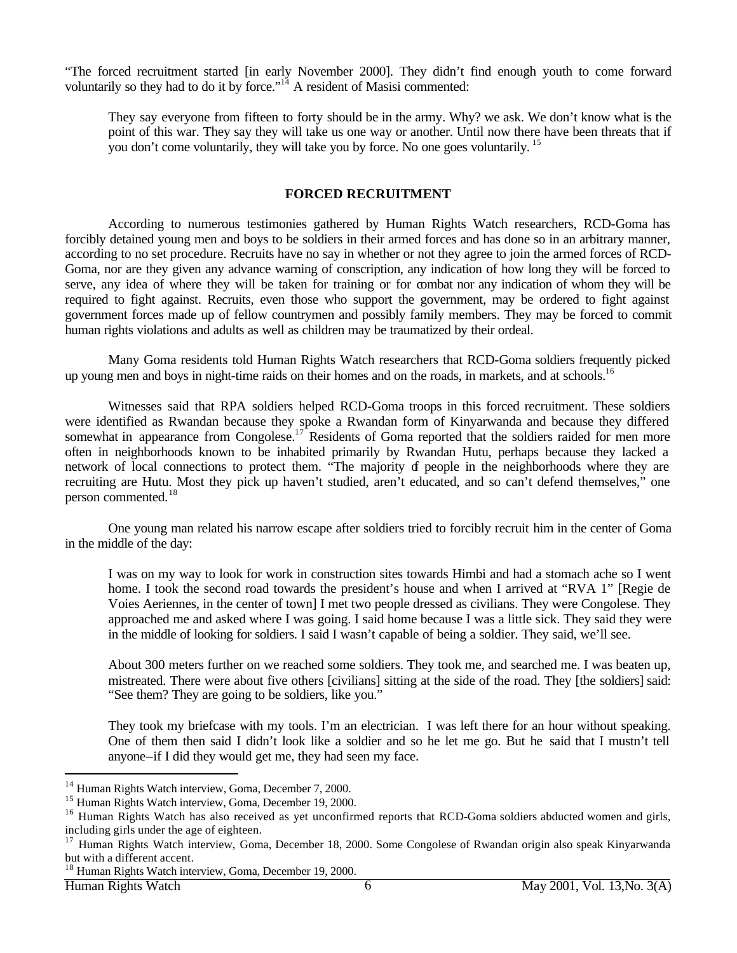"The forced recruitment started [in early November 2000]. They didn't find enough youth to come forward voluntarily so they had to do it by force."<sup>14</sup> A resident of Masisi commented:

They say everyone from fifteen to forty should be in the army. Why? we ask. We don't know what is the point of this war. They say they will take us one way or another. Until now there have been threats that if you don't come voluntarily, they will take you by force. No one goes voluntarily. <sup>15</sup>

#### **FORCED RECRUITMENT**

According to numerous testimonies gathered by Human Rights Watch researchers, RCD-Goma has forcibly detained young men and boys to be soldiers in their armed forces and has done so in an arbitrary manner, according to no set procedure. Recruits have no say in whether or not they agree to join the armed forces of RCD-Goma, nor are they given any advance warning of conscription, any indication of how long they will be forced to serve, any idea of where they will be taken for training or for combat nor any indication of whom they will be required to fight against. Recruits, even those who support the government, may be ordered to fight against government forces made up of fellow countrymen and possibly family members. They may be forced to commit human rights violations and adults as well as children may be traumatized by their ordeal.

Many Goma residents told Human Rights Watch researchers that RCD-Goma soldiers frequently picked up young men and boys in night-time raids on their homes and on the roads, in markets, and at schools.<sup>16</sup>

Witnesses said that RPA soldiers helped RCD-Goma troops in this forced recruitment. These soldiers were identified as Rwandan because they spoke a Rwandan form of Kinyarwanda and because they differed somewhat in appearance from Congolese.<sup>17</sup> Residents of Goma reported that the soldiers raided for men more often in neighborhoods known to be inhabited primarily by Rwandan Hutu, perhaps because they lacked a network of local connections to protect them. "The majority of people in the neighborhoods where they are recruiting are Hutu. Most they pick up haven't studied, aren't educated, and so can't defend themselves," one person commented.<sup>18</sup>

One young man related his narrow escape after soldiers tried to forcibly recruit him in the center of Goma in the middle of the day:

I was on my way to look for work in construction sites towards Himbi and had a stomach ache so I went home. I took the second road towards the president's house and when I arrived at "RVA 1" [Regie de Voies Aeriennes, in the center of town] I met two people dressed as civilians. They were Congolese. They approached me and asked where I was going. I said home because I was a little sick. They said they were in the middle of looking for soldiers. I said I wasn't capable of being a soldier. They said, we'll see.

About 300 meters further on we reached some soldiers. They took me, and searched me. I was beaten up, mistreated. There were about five others [civilians] sitting at the side of the road. They [the soldiers] said: "See them? They are going to be soldiers, like you."

They took my briefcase with my tools. I'm an electrician. I was left there for an hour without speaking. One of them then said I didn't look like a soldier and so he let me go. But he said that I mustn't tell anyone–if I did they would get me, they had seen my face.

 $\overline{\phantom{a}}$ 

<sup>&</sup>lt;sup>14</sup> Human Rights Watch interview, Goma, December 7, 2000.

<sup>&</sup>lt;sup>15</sup> Human Rights Watch interview, Goma, December 19, 2000.

<sup>&</sup>lt;sup>16</sup> Human Rights Watch has also received as yet unconfirmed reports that RCD-Goma soldiers abducted women and girls, including girls under the age of eighteen.

<sup>&</sup>lt;sup>17</sup> Human Rights Watch interview, Goma, December 18, 2000. Some Congolese of Rwandan origin also speak Kinyarwanda but with a different accent.

<sup>18</sup> Human Rights Watch interview, Goma, December 19, 2000.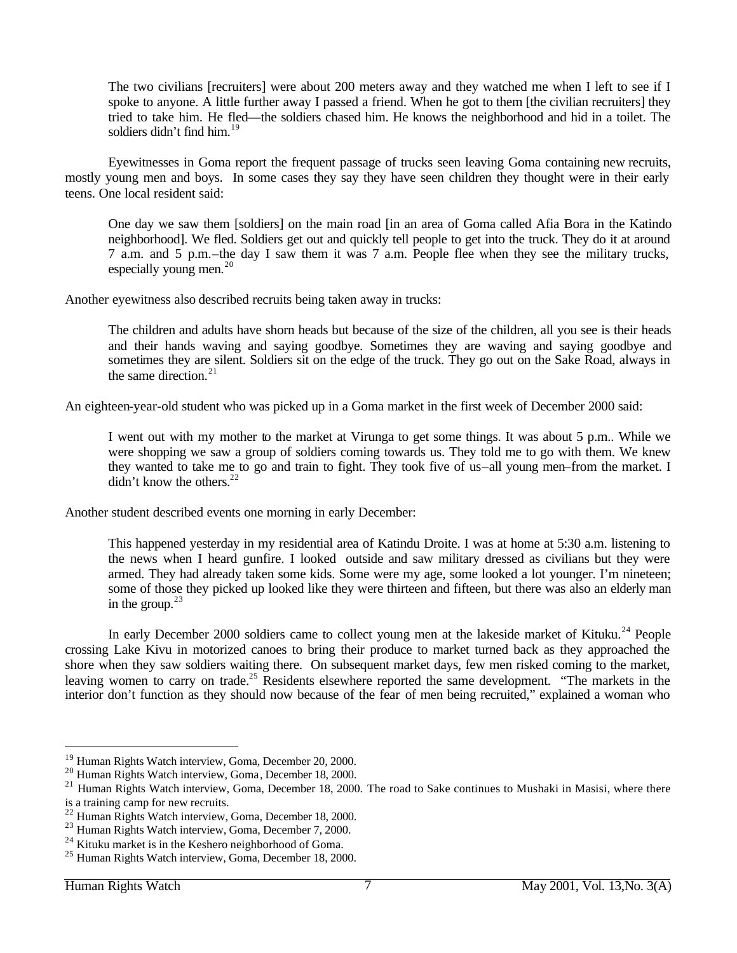The two civilians [recruiters] were about 200 meters away and they watched me when I left to see if I spoke to anyone. A little further away I passed a friend. When he got to them [the civilian recruiters] they tried to take him. He fled—the soldiers chased him. He knows the neighborhood and hid in a toilet. The soldiers didn't find him. $19$ 

Eyewitnesses in Goma report the frequent passage of trucks seen leaving Goma containing new recruits, mostly young men and boys. In some cases they say they have seen children they thought were in their early teens. One local resident said:

One day we saw them [soldiers] on the main road [in an area of Goma called Afia Bora in the Katindo neighborhood]. We fled. Soldiers get out and quickly tell people to get into the truck. They do it at around 7 a.m. and 5 p.m.–the day I saw them it was 7 a.m. People flee when they see the military trucks, especially young men. $^{20}$ 

Another eyewitness also described recruits being taken away in trucks:

The children and adults have shorn heads but because of the size of the children, all you see is their heads and their hands waving and saying goodbye. Sometimes they are waving and saying goodbye and sometimes they are silent. Soldiers sit on the edge of the truck. They go out on the Sake Road, always in the same direction. $21$ 

An eighteen-year-old student who was picked up in a Goma market in the first week of December 2000 said:

I went out with my mother to the market at Virunga to get some things. It was about 5 p.m.. While we were shopping we saw a group of soldiers coming towards us. They told me to go with them. We knew they wanted to take me to go and train to fight. They took five of us–all young men–from the market. I  $\frac{di}{dr}$  t know the others.<sup>22</sup>

Another student described events one morning in early December:

This happened yesterday in my residential area of Katindu Droite. I was at home at 5:30 a.m. listening to the news when I heard gunfire. I looked outside and saw military dressed as civilians but they were armed. They had already taken some kids. Some were my age, some looked a lot younger. I'm nineteen; some of those they picked up looked like they were thirteen and fifteen, but there was also an elderly man in the group. $23$ 

In early December 2000 soldiers came to collect young men at the lakeside market of Kituku.<sup>24</sup> People crossing Lake Kivu in motorized canoes to bring their produce to market turned back as they approached the shore when they saw soldiers waiting there. On subsequent market days, few men risked coming to the market, leaving women to carry on trade.<sup>25</sup> Residents elsewhere reported the same development. "The markets in the interior don't function as they should now because of the fear of men being recruited," explained a woman who

<sup>19</sup> Human Rights Watch interview, Goma, December 20, 2000.

<sup>20</sup> Human Rights Watch interview, Goma, December 18, 2000.

 $21$  Human Rights Watch interview, Goma, December 18, 2000. The road to Sake continues to Mushaki in Masisi, where there is a training camp for new recruits.

<sup>22</sup> Human Rights Watch interview, Goma, December 18, 2000.

<sup>23</sup> Human Rights Watch interview, Goma, December 7, 2000.

<sup>&</sup>lt;sup>24</sup> Kituku market is in the Keshero neighborhood of Goma.

<sup>25</sup> Human Rights Watch interview, Goma, December 18, 2000.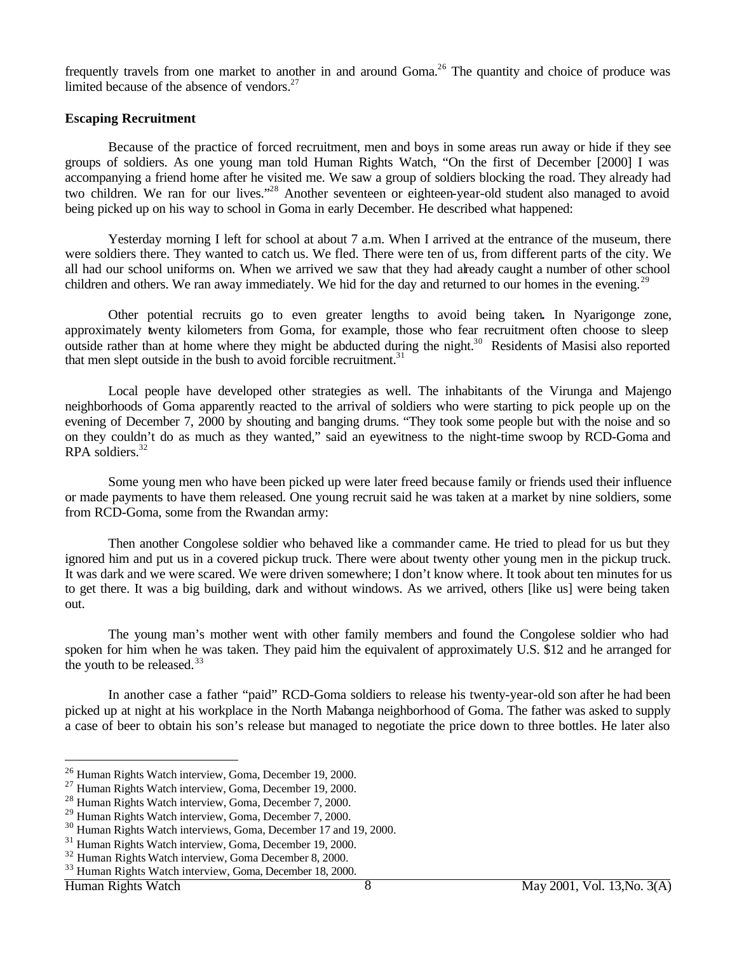frequently travels from one market to another in and around Goma.<sup>26</sup> The quantity and choice of produce was limited because of the absence of vendors. $27$ 

#### **Escaping Recruitment**

Because of the practice of forced recruitment, men and boys in some areas run away or hide if they see groups of soldiers. As one young man told Human Rights Watch, "On the first of December [2000] I was accompanying a friend home after he visited me. We saw a group of soldiers blocking the road. They already had two children. We ran for our lives."<sup>28</sup> Another seventeen or eighteen-year-old student also managed to avoid being picked up on his way to school in Goma in early December. He described what happened:

Yesterday morning I left for school at about 7 a.m. When I arrived at the entrance of the museum, there were soldiers there. They wanted to catch us. We fled. There were ten of us, from different parts of the city. We all had our school uniforms on. When we arrived we saw that they had already caught a number of other school children and others. We ran away immediately. We hid for the day and returned to our homes in the evening.<sup>29</sup>

Other potential recruits go to even greater lengths to avoid being taken**.** In Nyarigonge zone, approximately twenty kilometers from Goma, for example, those who fear recruitment often choose to sleep outside rather than at home where they might be abducted during the night.<sup>30</sup> Residents of Masisi also reported that men slept outside in the bush to avoid forcible recruitment. $31$ 

Local people have developed other strategies as well. The inhabitants of the Virunga and Majengo neighborhoods of Goma apparently reacted to the arrival of soldiers who were starting to pick people up on the evening of December 7, 2000 by shouting and banging drums. "They took some people but with the noise and so on they couldn't do as much as they wanted," said an eyewitness to the night-time swoop by RCD-Goma and RPA soldiers.<sup>32</sup>

Some young men who have been picked up were later freed because family or friends used their influence or made payments to have them released. One young recruit said he was taken at a market by nine soldiers, some from RCD-Goma, some from the Rwandan army:

Then another Congolese soldier who behaved like a commander came. He tried to plead for us but they ignored him and put us in a covered pickup truck. There were about twenty other young men in the pickup truck. It was dark and we were scared. We were driven somewhere; I don't know where. It took about ten minutes for us to get there. It was a big building, dark and without windows. As we arrived, others [like us] were being taken out.

The young man's mother went with other family members and found the Congolese soldier who had spoken for him when he was taken. They paid him the equivalent of approximately U.S. \$12 and he arranged for the youth to be released. $33$ 

In another case a father "paid" RCD-Goma soldiers to release his twenty-year-old son after he had been picked up at night at his workplace in the North Mabanga neighborhood of Goma. The father was asked to supply a case of beer to obtain his son's release but managed to negotiate the price down to three bottles. He later also

<sup>26</sup> Human Rights Watch interview, Goma, December 19, 2000.

<sup>27</sup> Human Rights Watch interview, Goma, December 19, 2000.

<sup>28</sup> Human Rights Watch interview, Goma, December 7, 2000.

<sup>29</sup> Human Rights Watch interview, Goma, December 7, 2000.

<sup>30</sup> Human Rights Watch interviews, Goma, December 17 and 19, 2000.

<sup>31</sup> Human Rights Watch interview, Goma, December 19, 2000.

<sup>32</sup> Human Rights Watch interview, Goma December 8, 2000.

<sup>33</sup> Human Rights Watch interview, Goma, December 18, 2000.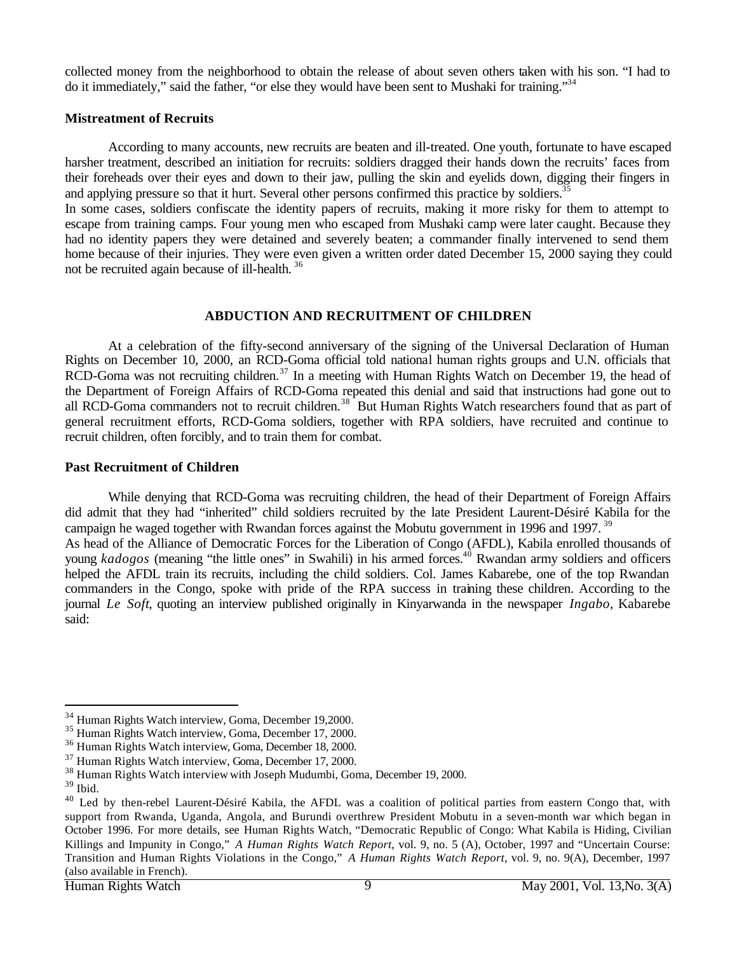collected money from the neighborhood to obtain the release of about seven others taken with his son. "I had to do it immediately," said the father, "or else they would have been sent to Mushaki for training."<sup>34</sup>

# **Mistreatment of Recruits**

According to many accounts, new recruits are beaten and ill-treated. One youth, fortunate to have escaped harsher treatment, described an initiation for recruits: soldiers dragged their hands down the recruits' faces from their foreheads over their eyes and down to their jaw, pulling the skin and eyelids down, digging their fingers in and applying pressure so that it hurt. Several other persons confirmed this practice by soldiers.<sup>3</sup>

In some cases, soldiers confiscate the identity papers of recruits, making it more risky for them to attempt to escape from training camps. Four young men who escaped from Mushaki camp were later caught. Because they had no identity papers they were detained and severely beaten; a commander finally intervened to send them home because of their injuries. They were even given a written order dated December 15, 2000 saying they could not be recruited again because of ill-health.<sup>36</sup>

# **ABDUCTION AND RECRUITMENT OF CHILDREN**

At a celebration of the fifty-second anniversary of the signing of the Universal Declaration of Human Rights on December 10, 2000, an RCD-Goma official told national human rights groups and U.N. officials that RCD-Goma was not recruiting children.<sup>37</sup> In a meeting with Human Rights Watch on December 19, the head of the Department of Foreign Affairs of RCD-Goma repeated this denial and said that instructions had gone out to all RCD-Goma commanders not to recruit children.<sup>38</sup> But Human Rights Watch researchers found that as part of general recruitment efforts, RCD-Goma soldiers, together with RPA soldiers, have recruited and continue to recruit children, often forcibly, and to train them for combat.

# **Past Recruitment of Children**

While denying that RCD-Goma was recruiting children, the head of their Department of Foreign Affairs did admit that they had "inherited" child soldiers recruited by the late President Laurent-Désiré Kabila for the campaign he waged together with Rwandan forces against the Mobutu government in 1996 and 1997.<sup>39</sup> As head of the Alliance of Democratic Forces for the Liberation of Congo (AFDL), Kabila enrolled thousands of young *kadogos* (meaning "the little ones" in Swahili) in his armed forces.<sup>40</sup> Rwandan army soldiers and officers

helped the AFDL train its recruits, including the child soldiers. Col. James Kabarebe, one of the top Rwandan commanders in the Congo, spoke with pride of the RPA success in training these children. According to the journal *Le Soft*, quoting an interview published originally in Kinyarwanda in the newspaper *Ingabo,* Kabarebe said:

<sup>34</sup> Human Rights Watch interview, Goma, December 19,2000.

<sup>35</sup> Human Rights Watch interview, Goma, December 17, 2000.

<sup>36</sup> Human Rights Watch interview, Goma, December 18, 2000.

<sup>37</sup> Human Rights Watch interview, Goma, December 17, 2000.

<sup>38</sup> Human Rights Watch interview with Joseph Mudumbi, Goma, December 19, 2000.

 $39$  Ibid.

<sup>&</sup>lt;sup>40</sup> Led by then-rebel Laurent-Désiré Kabila, the AFDL was a coalition of political parties from eastern Congo that, with support from Rwanda, Uganda, Angola, and Burundi overthrew President Mobutu in a seven-month war which began in October 1996. For more details, see Human Rights Watch, "Democratic Republic of Congo: What Kabila is Hiding, Civilian Killings and Impunity in Congo," *A Human Rights Watch Report*, vol. 9, no. 5 (A), October, 1997 and "Uncertain Course: Transition and Human Rights Violations in the Congo," *A Human Rights Watch Report*, vol. 9, no. 9(A), December, 1997 (also available in French).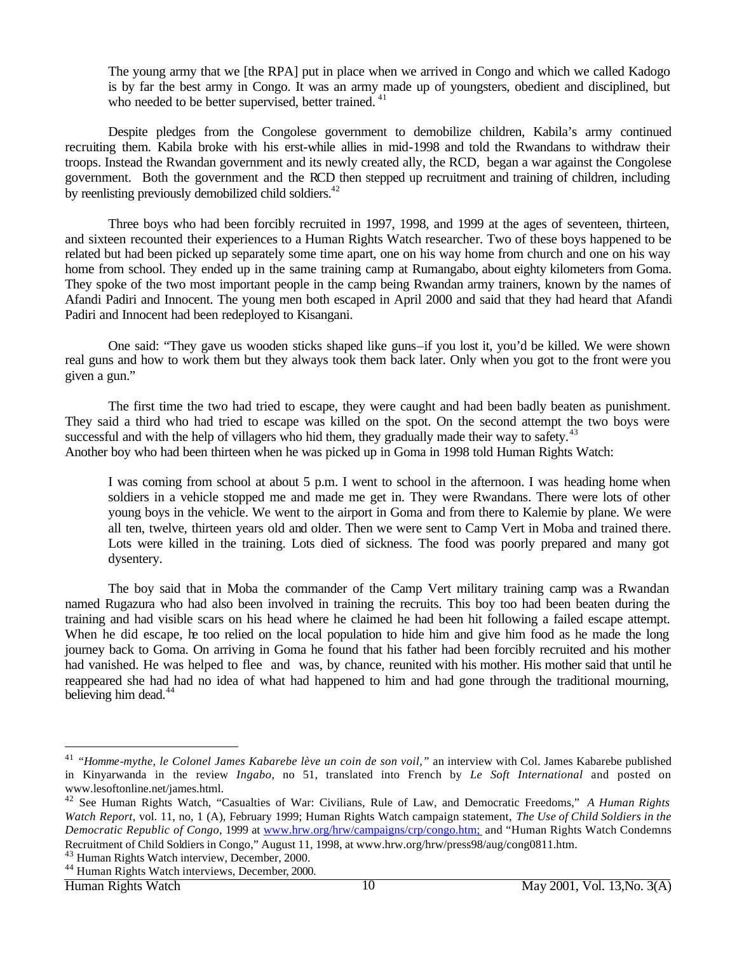The young army that we [the RPA] put in place when we arrived in Congo and which we called Kadogo is by far the best army in Congo. It was an army made up of youngsters, obedient and disciplined, but who needed to be better supervised, better trained.<sup>41</sup>

Despite pledges from the Congolese government to demobilize children, Kabila's army continued recruiting them. Kabila broke with his erst-while allies in mid-1998 and told the Rwandans to withdraw their troops. Instead the Rwandan government and its newly created ally, the RCD, began a war against the Congolese government. Both the government and the RCD then stepped up recruitment and training of children, including by reenlisting previously demobilized child soldiers.<sup>42</sup>

Three boys who had been forcibly recruited in 1997, 1998, and 1999 at the ages of seventeen, thirteen, and sixteen recounted their experiences to a Human Rights Watch researcher. Two of these boys happened to be related but had been picked up separately some time apart, one on his way home from church and one on his way home from school. They ended up in the same training camp at Rumangabo, about eighty kilometers from Goma. They spoke of the two most important people in the camp being Rwandan army trainers, known by the names of Afandi Padiri and Innocent. The young men both escaped in April 2000 and said that they had heard that Afandi Padiri and Innocent had been redeployed to Kisangani.

One said: "They gave us wooden sticks shaped like guns–if you lost it, you'd be killed. We were shown real guns and how to work them but they always took them back later. Only when you got to the front were you given a gun."

The first time the two had tried to escape, they were caught and had been badly beaten as punishment. They said a third who had tried to escape was killed on the spot. On the second attempt the two boys were successful and with the help of villagers who hid them, they gradually made their way to safety. $43$ Another boy who had been thirteen when he was picked up in Goma in 1998 told Human Rights Watch:

I was coming from school at about 5 p.m. I went to school in the afternoon. I was heading home when soldiers in a vehicle stopped me and made me get in. They were Rwandans. There were lots of other young boys in the vehicle. We went to the airport in Goma and from there to Kalemie by plane. We were all ten, twelve, thirteen years old and older. Then we were sent to Camp Vert in Moba and trained there. Lots were killed in the training. Lots died of sickness. The food was poorly prepared and many got dysentery.

The boy said that in Moba the commander of the Camp Vert military training camp was a Rwandan named Rugazura who had also been involved in training the recruits. This boy too had been beaten during the training and had visible scars on his head where he claimed he had been hit following a failed escape attempt. When he did escape, he too relied on the local population to hide him and give him food as he made the long journey back to Goma. On arriving in Goma he found that his father had been forcibly recruited and his mother had vanished. He was helped to flee and was, by chance, reunited with his mother. His mother said that until he reappeared she had had no idea of what had happened to him and had gone through the traditional mourning, believing him dead.<sup>44</sup>

<sup>41</sup> *"Homme-mythe, le Colonel James Kabarebe lève un coin de son voil,"* an interview with Col. James Kabarebe published in Kinyarwanda in the review *Ingabo*, no 51, translated into French by *Le Soft International* and posted on www.lesoftonline.net/james.html.

<sup>42</sup> See Human Rights Watch, "Casualties of War: Civilians, Rule of Law, and Democratic Freedoms," *A Human Rights Watch Report*, vol. 11, no, 1 (A), February 1999; Human Rights Watch campaign statement, *The Use of Child Soldiers in the Democratic Republic of Congo*, 1999 at www.hrw.org/hrw/campaigns/crp/congo.htm; and "Human Rights Watch Condemns Recruitment of Child Soldiers in Congo," August 11, 1998, at www.hrw.org/hrw/press98/aug/cong0811.htm.

<sup>43</sup> Human Rights Watch interview, December, 2000.

<sup>44</sup> Human Rights Watch interviews, December, 2000.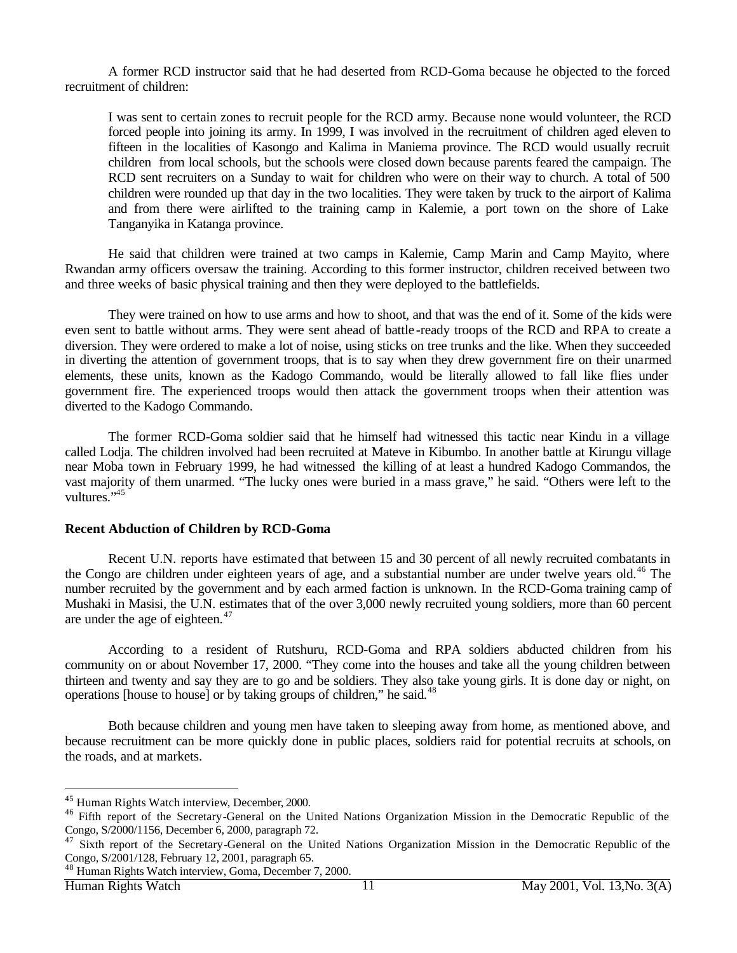A former RCD instructor said that he had deserted from RCD-Goma because he objected to the forced recruitment of children:

I was sent to certain zones to recruit people for the RCD army. Because none would volunteer, the RCD forced people into joining its army. In 1999, I was involved in the recruitment of children aged eleven to fifteen in the localities of Kasongo and Kalima in Maniema province. The RCD would usually recruit children from local schools, but the schools were closed down because parents feared the campaign. The RCD sent recruiters on a Sunday to wait for children who were on their way to church. A total of 500 children were rounded up that day in the two localities. They were taken by truck to the airport of Kalima and from there were airlifted to the training camp in Kalemie, a port town on the shore of Lake Tanganyika in Katanga province.

He said that children were trained at two camps in Kalemie, Camp Marin and Camp Mayito, where Rwandan army officers oversaw the training. According to this former instructor, children received between two and three weeks of basic physical training and then they were deployed to the battlefields.

They were trained on how to use arms and how to shoot, and that was the end of it. Some of the kids were even sent to battle without arms. They were sent ahead of battle -ready troops of the RCD and RPA to create a diversion. They were ordered to make a lot of noise, using sticks on tree trunks and the like. When they succeeded in diverting the attention of government troops, that is to say when they drew government fire on their unarmed elements, these units, known as the Kadogo Commando, would be literally allowed to fall like flies under government fire. The experienced troops would then attack the government troops when their attention was diverted to the Kadogo Commando.

The former RCD-Goma soldier said that he himself had witnessed this tactic near Kindu in a village called Lodja. The children involved had been recruited at Mateve in Kibumbo. In another battle at Kirungu village near Moba town in February 1999, he had witnessed the killing of at least a hundred Kadogo Commandos, the vast majority of them unarmed. "The lucky ones were buried in a mass grave," he said. "Others were left to the vultures."

# **Recent Abduction of Children by RCD-Goma**

Recent U.N. reports have estimated that between 15 and 30 percent of all newly recruited combatants in the Congo are children under eighteen years of age, and a substantial number are under twelve years old.<sup>46</sup> The number recruited by the government and by each armed faction is unknown. In the RCD-Goma training camp of Mushaki in Masisi, the U.N. estimates that of the over 3,000 newly recruited young soldiers, more than 60 percent are under the age of eighteen. $47$ 

According to a resident of Rutshuru, RCD-Goma and RPA soldiers abducted children from his community on or about November 17, 2000. "They come into the houses and take all the young children between thirteen and twenty and say they are to go and be soldiers. They also take young girls. It is done day or night, on operations [house to house] or by taking groups of children," he said.<sup>48</sup>

Both because children and young men have taken to sleeping away from home, as mentioned above, and because recruitment can be more quickly done in public places, soldiers raid for potential recruits at schools, on the roads, and at markets.

<sup>45</sup> Human Rights Watch interview, December, 2000.

<sup>&</sup>lt;sup>46</sup> Fifth report of the Secretary-General on the United Nations Organization Mission in the Democratic Republic of the Congo, S/2000/1156, December 6, 2000, paragraph 72.

<sup>&</sup>lt;sup>47</sup> Sixth report of the Secretary-General on the United Nations Organization Mission in the Democratic Republic of the Congo, S/2001/128, February 12, 2001, paragraph 65.

<sup>48</sup> Human Rights Watch interview, Goma, December 7, 2000.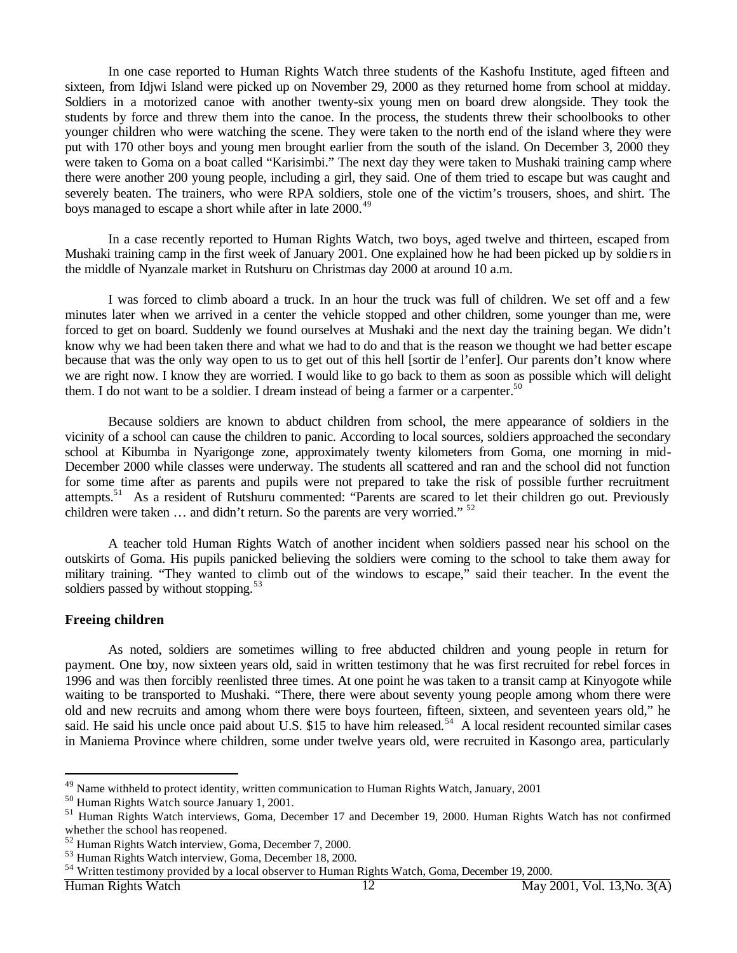In one case reported to Human Rights Watch three students of the Kashofu Institute, aged fifteen and sixteen, from Idjwi Island were picked up on November 29, 2000 as they returned home from school at midday. Soldiers in a motorized canoe with another twenty-six young men on board drew alongside. They took the students by force and threw them into the canoe. In the process, the students threw their schoolbooks to other younger children who were watching the scene. They were taken to the north end of the island where they were put with 170 other boys and young men brought earlier from the south of the island. On December 3, 2000 they were taken to Goma on a boat called "Karisimbi." The next day they were taken to Mushaki training camp where there were another 200 young people, including a girl, they said. One of them tried to escape but was caught and severely beaten. The trainers, who were RPA soldiers, stole one of the victim's trousers, shoes, and shirt. The boys managed to escape a short while after in late 2000.<sup>49</sup>

In a case recently reported to Human Rights Watch, two boys, aged twelve and thirteen, escaped from Mushaki training camp in the first week of January 2001. One explained how he had been picked up by soldie rs in the middle of Nyanzale market in Rutshuru on Christmas day 2000 at around 10 a.m.

I was forced to climb aboard a truck. In an hour the truck was full of children. We set off and a few minutes later when we arrived in a center the vehicle stopped and other children, some younger than me, were forced to get on board. Suddenly we found ourselves at Mushaki and the next day the training began. We didn't know why we had been taken there and what we had to do and that is the reason we thought we had better escape because that was the only way open to us to get out of this hell [sortir de l'enfer]. Our parents don't know where we are right now. I know they are worried. I would like to go back to them as soon as possible which will delight them. I do not want to be a soldier. I dream instead of being a farmer or a carpenter.<sup>50</sup>

Because soldiers are known to abduct children from school, the mere appearance of soldiers in the vicinity of a school can cause the children to panic. According to local sources, soldiers approached the secondary school at Kibumba in Nyarigonge zone, approximately twenty kilometers from Goma, one morning in mid-December 2000 while classes were underway. The students all scattered and ran and the school did not function for some time after as parents and pupils were not prepared to take the risk of possible further recruitment attempts.<sup>51</sup> As a resident of Rutshuru commented: "Parents are scared to let their children go out. Previously children were taken  $\ldots$  and didn't return. So the parents are very worried."  $52$ 

A teacher told Human Rights Watch of another incident when soldiers passed near his school on the outskirts of Goma. His pupils panicked believing the soldiers were coming to the school to take them away for military training. "They wanted to climb out of the windows to escape," said their teacher. In the event the soldiers passed by without stopping.<sup>53</sup>

#### **Freeing children**

l

As noted, soldiers are sometimes willing to free abducted children and young people in return for payment. One boy, now sixteen years old, said in written testimony that he was first recruited for rebel forces in 1996 and was then forcibly reenlisted three times. At one point he was taken to a transit camp at Kinyogote while waiting to be transported to Mushaki. "There, there were about seventy young people among whom there were old and new recruits and among whom there were boys fourteen, fifteen, sixteen, and seventeen years old," he said. He said his uncle once paid about U.S. \$15 to have him released.<sup>54</sup> A local resident recounted similar cases in Maniema Province where children, some under twelve years old, were recruited in Kasongo area, particularly

<sup>&</sup>lt;sup>49</sup> Name withheld to protect identity, written communication to Human Rights Watch, January, 2001

<sup>50</sup> Human Rights Watch source January 1, 2001.

<sup>&</sup>lt;sup>51</sup> Human Rights Watch interviews, Goma, December 17 and December 19, 2000. Human Rights Watch has not confirmed whether the school has reopened.

<sup>52</sup> Human Rights Watch interview, Goma, December 7, 2000.

<sup>53</sup> Human Rights Watch interview, Goma, December 18, 2000.

<sup>&</sup>lt;sup>54</sup> Written testimony provided by a local observer to Human Rights Watch, Goma, December 19, 2000.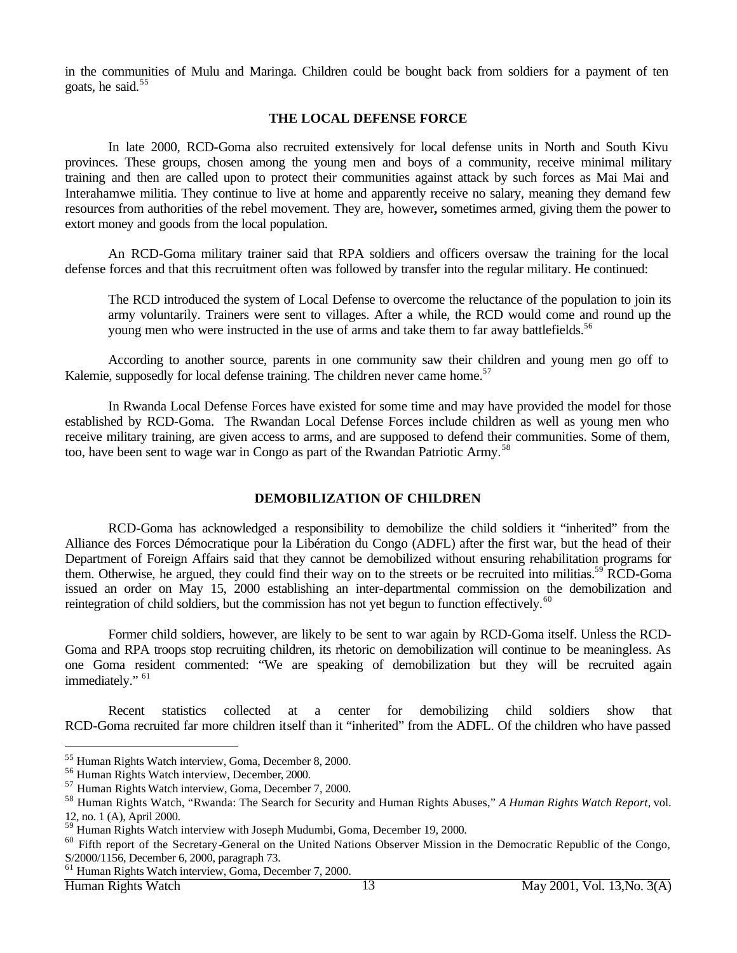in the communities of Mulu and Maringa. Children could be bought back from soldiers for a payment of ten goats, he said.<sup>55</sup>

# **THE LOCAL DEFENSE FORCE**

In late 2000, RCD-Goma also recruited extensively for local defense units in North and South Kivu provinces. These groups, chosen among the young men and boys of a community, receive minimal military training and then are called upon to protect their communities against attack by such forces as Mai Mai and Interahamwe militia. They continue to live at home and apparently receive no salary, meaning they demand few resources from authorities of the rebel movement. They are, however**,** sometimes armed, giving them the power to extort money and goods from the local population.

An RCD-Goma military trainer said that RPA soldiers and officers oversaw the training for the local defense forces and that this recruitment often was followed by transfer into the regular military. He continued:

The RCD introduced the system of Local Defense to overcome the reluctance of the population to join its army voluntarily. Trainers were sent to villages. After a while, the RCD would come and round up the young men who were instructed in the use of arms and take them to far away battlefields.<sup>56</sup>

According to another source, parents in one community saw their children and young men go off to Kalemie, supposedly for local defense training. The children never came home.<sup>57</sup>

In Rwanda Local Defense Forces have existed for some time and may have provided the model for those established by RCD-Goma. The Rwandan Local Defense Forces include children as well as young men who receive military training, are given access to arms, and are supposed to defend their communities. Some of them, too, have been sent to wage war in Congo as part of the Rwandan Patriotic Army.<sup>58</sup>

# **DEMOBILIZATION OF CHILDREN**

RCD-Goma has acknowledged a responsibility to demobilize the child soldiers it "inherited" from the Alliance des Forces Démocratique pour la Libération du Congo (ADFL) after the first war, but the head of their Department of Foreign Affairs said that they cannot be demobilized without ensuring rehabilitation programs for them. Otherwise, he argued, they could find their way on to the streets or be recruited into militias.<sup>59</sup> RCD-Goma issued an order on May 15, 2000 establishing an inter-departmental commission on the demobilization and reintegration of child soldiers, but the commission has not yet begun to function effectively.<sup>60</sup>

Former child soldiers, however, are likely to be sent to war again by RCD-Goma itself. Unless the RCD-Goma and RPA troops stop recruiting children, its rhetoric on demobilization will continue to be meaningless. As one Goma resident commented: "We are speaking of demobilization but they will be recruited again immediately." <sup>61</sup>

Recent statistics collected at a center for demobilizing child soldiers show that RCD-Goma recruited far more children itself than it "inherited" from the ADFL. Of the children who have passed

<sup>55</sup> Human Rights Watch interview, Goma, December 8, 2000.

<sup>56</sup> Human Rights Watch interview, December, 2000.

<sup>57</sup> Human Rights Watch interview, Goma, December 7, 2000.

<sup>58</sup> Human Rights Watch, "Rwanda: The Search for Security and Human Rights Abuses," *A Human Rights Watch Report*, vol. 12, no. 1 (A), April 2000.

<sup>59</sup> Human Rights Watch interview with Joseph Mudumbi, Goma, December 19, 2000.

<sup>&</sup>lt;sup>60</sup> Fifth report of the Secretary-General on the United Nations Observer Mission in the Democratic Republic of the Congo, S/2000/1156, December 6, 2000, paragraph 73.

<sup>61</sup> Human Rights Watch interview, Goma, December 7, 2000.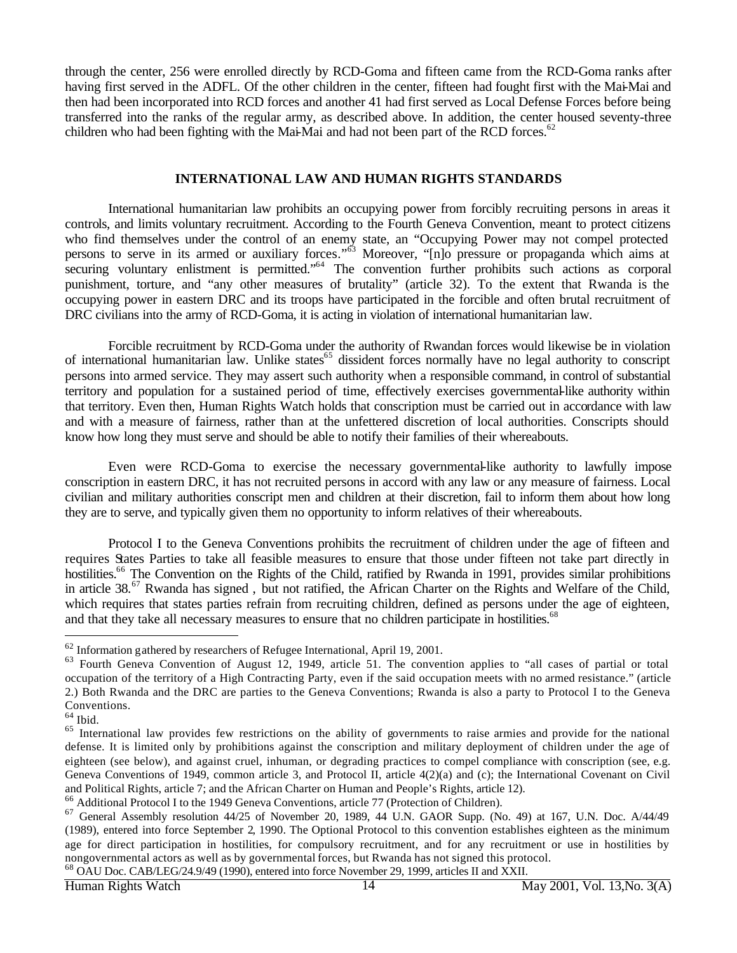through the center, 256 were enrolled directly by RCD-Goma and fifteen came from the RCD-Goma ranks after having first served in the ADFL. Of the other children in the center, fifteen had fought first with the Mai-Mai and then had been incorporated into RCD forces and another 41 had first served as Local Defense Forces before being transferred into the ranks of the regular army, as described above. In addition, the center housed seventy-three children who had been fighting with the Mai-Mai and had not been part of the RCD forces.<sup>62</sup>

# **INTERNATIONAL LAW AND HUMAN RIGHTS STANDARDS**

International humanitarian law prohibits an occupying power from forcibly recruiting persons in areas it controls, and limits voluntary recruitment. According to the Fourth Geneva Convention, meant to protect citizens who find themselves under the control of an enemy state, an "Occupying Power may not compel protected persons to serve in its armed or auxiliary forces."<sup>63</sup> Moreover, "[n]o pressure or propaganda which aims at securing voluntary enlistment is permitted."<sup>64</sup> The convention further prohibits such actions as corporal punishment, torture, and "any other measures of brutality" (article 32). To the extent that Rwanda is the occupying power in eastern DRC and its troops have participated in the forcible and often brutal recruitment of DRC civilians into the army of RCD-Goma, it is acting in violation of international humanitarian law.

Forcible recruitment by RCD-Goma under the authority of Rwandan forces would likewise be in violation of international humanitarian law. Unlike states<sup>65</sup> dissident forces normally have no legal authority to conscript persons into armed service. They may assert such authority when a responsible command, in control of substantial territory and population for a sustained period of time, effectively exercises governmental-like authority within that territory. Even then, Human Rights Watch holds that conscription must be carried out in accordance with law and with a measure of fairness, rather than at the unfettered discretion of local authorities. Conscripts should know how long they must serve and should be able to notify their families of their whereabouts.

Even were RCD-Goma to exercise the necessary governmental-like authority to lawfully impose conscription in eastern DRC, it has not recruited persons in accord with any law or any measure of fairness. Local civilian and military authorities conscript men and children at their discretion, fail to inform them about how long they are to serve, and typically given them no opportunity to inform relatives of their whereabouts.

Protocol I to the Geneva Conventions prohibits the recruitment of children under the age of fifteen and requires States Parties to take all feasible measures to ensure that those under fifteen not take part directly in hostilities.<sup>66</sup> The Convention on the Rights of the Child, ratified by Rwanda in 1991, provides similar prohibitions in article 38.<sup>67</sup> Rwanda has signed, but not ratified, the African Charter on the Rights and Welfare of the Child, which requires that states parties refrain from recruiting children, defined as persons under the age of eighteen, and that they take all necessary measures to ensure that no children participate in hostilities.<sup>68</sup>

 $62$  Information gathered by researchers of Refugee International, April 19, 2001.

<sup>&</sup>lt;sup>63</sup> Fourth Geneva Convention of August 12, 1949, article 51. The convention applies to "all cases of partial or total occupation of the territory of a High Contracting Party, even if the said occupation meets with no armed resistance." (article 2.) Both Rwanda and the DRC are parties to the Geneva Conventions; Rwanda is also a party to Protocol I to the Geneva Conventions.

 $^{64}$  Ibid.

<sup>&</sup>lt;sup>65</sup> International law provides few restrictions on the ability of governments to raise armies and provide for the national defense. It is limited only by prohibitions against the conscription and military deployment of children under the age of eighteen (see below), and against cruel, inhuman, or degrading practices to compel compliance with conscription (see, e.g. Geneva Conventions of 1949, common article 3, and Protocol II, article 4(2)(a) and (c); the International Covenant on Civil and Political Rights, article 7; and the African Charter on Human and People's Rights, article 12).

<sup>66</sup> Additional Protocol I to the 1949 Geneva Conventions, article 77 (Protection of Children).

<sup>67</sup> General Assembly resolution 44/25 of November 20, 1989, 44 U.N. GAOR Supp. (No. 49) at 167, U.N. Doc. A/44/49 (1989), entered into force September 2, 1990. The Optional Protocol to this convention establishes eighteen as the minimum age for direct participation in hostilities, for compulsory recruitment, and for any recruitment or use in hostilities by nongovernmental actors as well as by governmental forces, but Rwanda has not signed this protocol. <sup>68</sup> OAU Doc. CAB/LEG/24.9/49 (1990), entered into force November 29, 1999, articles II and XXII.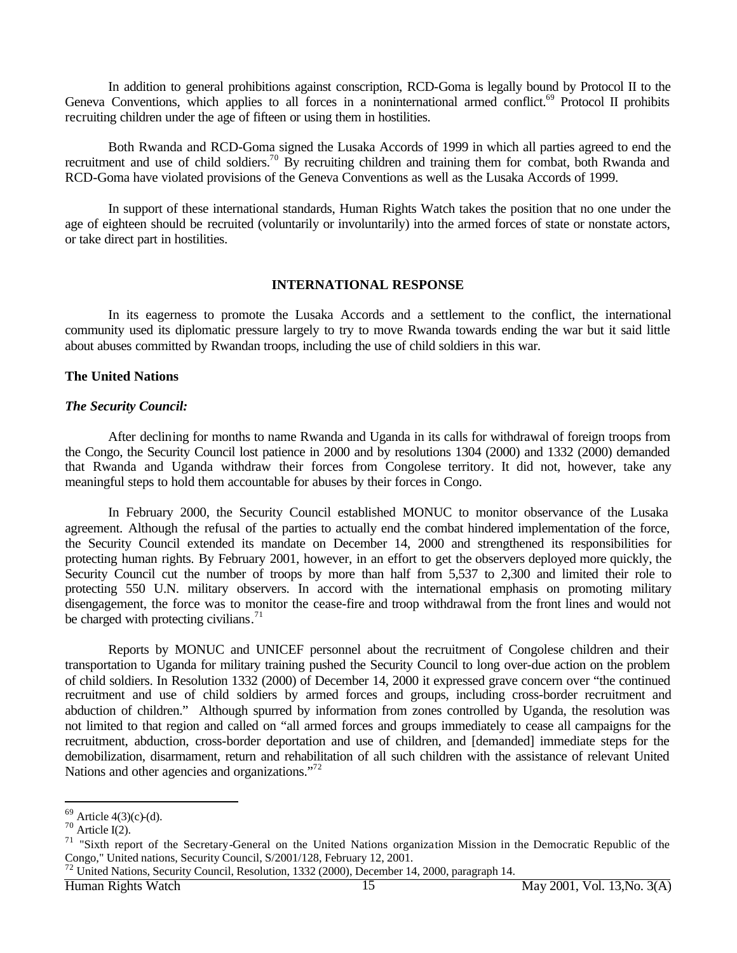In addition to general prohibitions against conscription, RCD-Goma is legally bound by Protocol II to the Geneva Conventions, which applies to all forces in a noninternational armed conflict.<sup>69</sup> Protocol II prohibits recruiting children under the age of fifteen or using them in hostilities.

Both Rwanda and RCD-Goma signed the Lusaka Accords of 1999 in which all parties agreed to end the recruitment and use of child soldiers.<sup>70</sup> By recruiting children and training them for combat, both Rwanda and RCD-Goma have violated provisions of the Geneva Conventions as well as the Lusaka Accords of 1999.

In support of these international standards, Human Rights Watch takes the position that no one under the age of eighteen should be recruited (voluntarily or involuntarily) into the armed forces of state or nonstate actors, or take direct part in hostilities.

#### **INTERNATIONAL RESPONSE**

In its eagerness to promote the Lusaka Accords and a settlement to the conflict, the international community used its diplomatic pressure largely to try to move Rwanda towards ending the war but it said little about abuses committed by Rwandan troops, including the use of child soldiers in this war.

#### **The United Nations**

#### *The Security Council:*

After declining for months to name Rwanda and Uganda in its calls for withdrawal of foreign troops from the Congo, the Security Council lost patience in 2000 and by resolutions 1304 (2000) and 1332 (2000) demanded that Rwanda and Uganda withdraw their forces from Congolese territory. It did not, however, take any meaningful steps to hold them accountable for abuses by their forces in Congo.

In February 2000, the Security Council established MONUC to monitor observance of the Lusaka agreement. Although the refusal of the parties to actually end the combat hindered implementation of the force, the Security Council extended its mandate on December 14, 2000 and strengthened its responsibilities for protecting human rights. By February 2001, however, in an effort to get the observers deployed more quickly, the Security Council cut the number of troops by more than half from 5,537 to 2,300 and limited their role to protecting 550 U.N. military observers. In accord with the international emphasis on promoting military disengagement, the force was to monitor the cease-fire and troop withdrawal from the front lines and would not be charged with protecting civilians. $71$ 

Reports by MONUC and UNICEF personnel about the recruitment of Congolese children and their transportation to Uganda for military training pushed the Security Council to long over-due action on the problem of child soldiers. In Resolution 1332 (2000) of December 14, 2000 it expressed grave concern over "the continued recruitment and use of child soldiers by armed forces and groups, including cross-border recruitment and abduction of children." Although spurred by information from zones controlled by Uganda, the resolution was not limited to that region and called on "all armed forces and groups immediately to cease all campaigns for the recruitment, abduction, cross-border deportation and use of children, and [demanded] immediate steps for the demobilization, disarmament, return and rehabilitation of all such children with the assistance of relevant United Nations and other agencies and organizations."<sup>72</sup>

 $69$  Article 4(3)(c)-(d).

 $70$  Article I(2).

 $71$  "Sixth report of the Secretary-General on the United Nations organization Mission in the Democratic Republic of the Congo," United nations, Security Council, S/2001/128, February 12, 2001.

 $72$  United Nations, Security Council, Resolution, 1332 (2000), December 14, 2000, paragraph 14.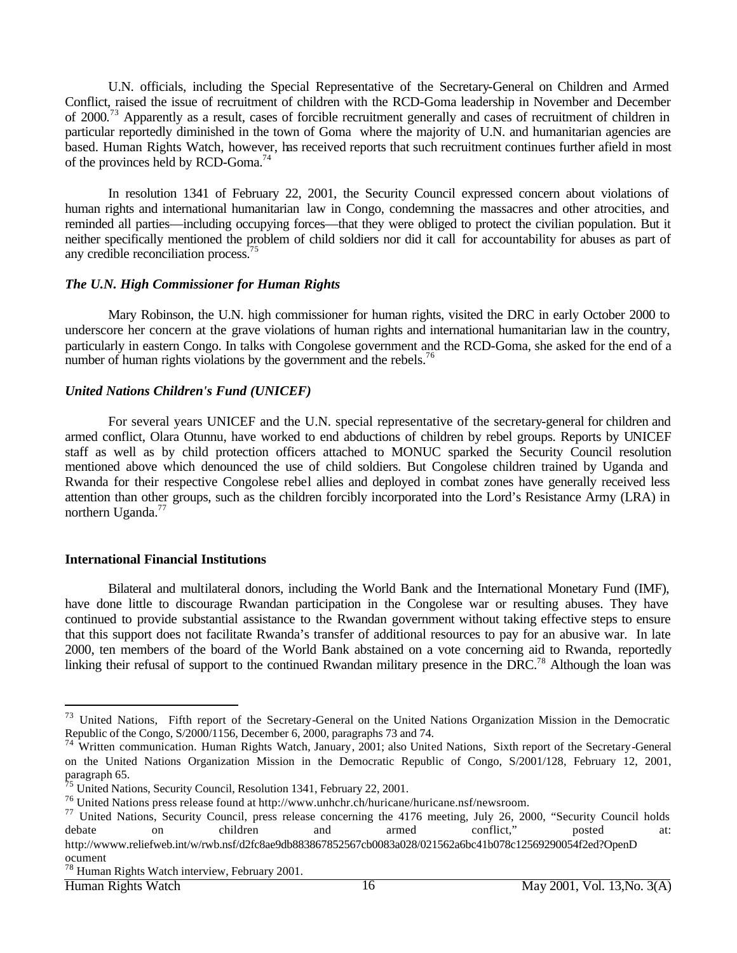U.N. officials, including the Special Representative of the Secretary-General on Children and Armed Conflict, raised the issue of recruitment of children with the RCD-Goma leadership in November and December of 2000.<sup>73</sup> Apparently as a result, cases of forcible recruitment generally and cases of recruitment of children in particular reportedly diminished in the town of Goma where the majority of U.N. and humanitarian agencies are based. Human Rights Watch, however, has received reports that such recruitment continues further afield in most of the provinces held by RCD-Goma.<sup>74</sup>

In resolution 1341 of February 22, 2001, the Security Council expressed concern about violations of human rights and international humanitarian law in Congo, condemning the massacres and other atrocities, and reminded all parties—including occupying forces—that they were obliged to protect the civilian population. But it neither specifically mentioned the problem of child soldiers nor did it call for accountability for abuses as part of any credible reconciliation process.<sup>75</sup>

# *The U.N. High Commissioner for Human Rights*

Mary Robinson, the U.N. high commissioner for human rights, visited the DRC in early October 2000 to underscore her concern at the grave violations of human rights and international humanitarian law in the country, particularly in eastern Congo. In talks with Congolese government and the RCD-Goma, she asked for the end of a number of human rights violations by the government and the rebels.<sup>76</sup>

# *United Nations Children's Fund (UNICEF)*

For several years UNICEF and the U.N. special representative of the secretary-general for children and armed conflict, Olara Otunnu, have worked to end abductions of children by rebel groups. Reports by UNICEF staff as well as by child protection officers attached to MONUC sparked the Security Council resolution mentioned above which denounced the use of child soldiers. But Congolese children trained by Uganda and Rwanda for their respective Congolese rebel allies and deployed in combat zones have generally received less attention than other groups, such as the children forcibly incorporated into the Lord's Resistance Army (LRA) in northern Uganda.<sup>77</sup>

# **International Financial Institutions**

Bilateral and multilateral donors, including the World Bank and the International Monetary Fund (IMF), have done little to discourage Rwandan participation in the Congolese war or resulting abuses. They have continued to provide substantial assistance to the Rwandan government without taking effective steps to ensure that this support does not facilitate Rwanda's transfer of additional resources to pay for an abusive war. In late 2000, ten members of the board of the World Bank abstained on a vote concerning aid to Rwanda, reportedly linking their refusal of support to the continued Rwandan military presence in the DRC.<sup>78</sup> Although the loan was

<sup>&</sup>lt;sup>73</sup> United Nations, Fifth report of the Secretary-General on the United Nations Organization Mission in the Democratic Republic of the Congo, S/2000/1156, December 6, 2000, paragraphs 73 and 74.

<sup>&</sup>lt;sup>74</sup> Written communication. Human Rights Watch, January, 2001; also United Nations, Sixth report of the Secretary-General on the United Nations Organization Mission in the Democratic Republic of Congo, S/2001/128, February 12, 2001, paragraph 65.

<sup>&</sup>lt;sup>75</sup> United Nations, Security Council, Resolution 1341, February 22, 2001.

<sup>76</sup> United Nations press release found at http://www.unhchr.ch/huricane/huricane.nsf/newsroom.

<sup>&</sup>lt;sup>77</sup> United Nations, Security Council, press release concerning the 4176 meeting, July 26, 2000, "Security Council holds debate on children and armed conflict," posted at:

http://wwww.reliefweb.int/w/rwb.nsf/d2fc8ae9db883867852567cb0083a028/021562a6bc41b078c12569290054f2ed?OpenD ocument

<sup>78</sup> Human Rights Watch interview, February 2001.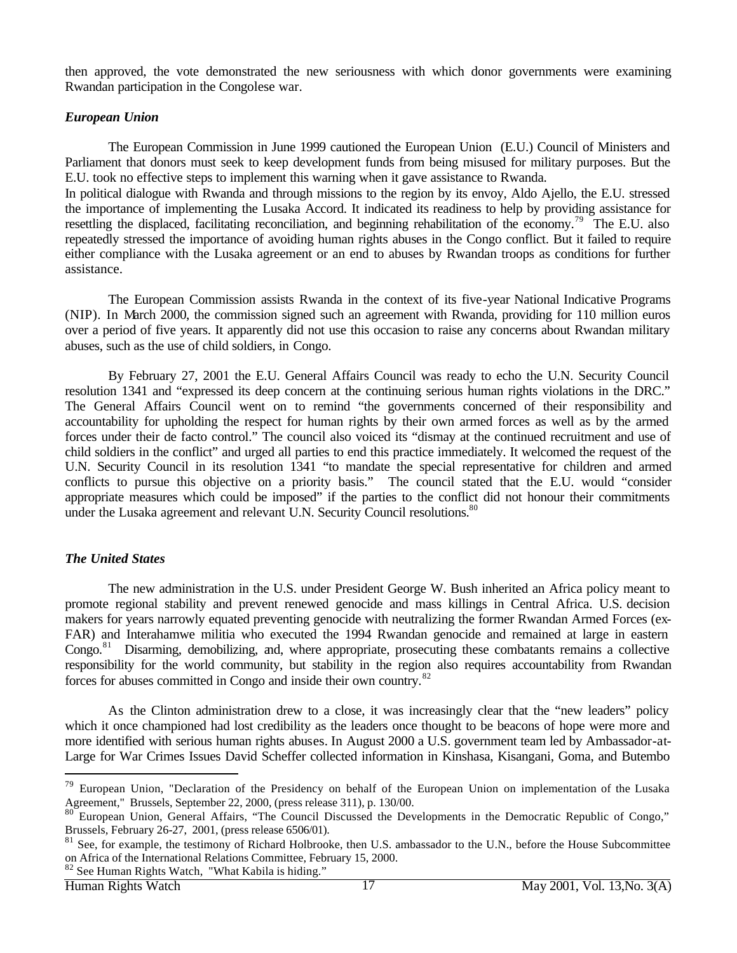then approved, the vote demonstrated the new seriousness with which donor governments were examining Rwandan participation in the Congolese war.

# *European Union*

The European Commission in June 1999 cautioned the European Union (E.U.) Council of Ministers and Parliament that donors must seek to keep development funds from being misused for military purposes. But the E.U. took no effective steps to implement this warning when it gave assistance to Rwanda.

In political dialogue with Rwanda and through missions to the region by its envoy, Aldo Ajello, the E.U. stressed the importance of implementing the Lusaka Accord. It indicated its readiness to help by providing assistance for resettling the displaced, facilitating reconciliation, and beginning rehabilitation of the economy.<sup>79</sup> The E.U. also repeatedly stressed the importance of avoiding human rights abuses in the Congo conflict. But it failed to require either compliance with the Lusaka agreement or an end to abuses by Rwandan troops as conditions for further assistance.

The European Commission assists Rwanda in the context of its five-year National Indicative Programs (NIP). In March 2000, the commission signed such an agreement with Rwanda, providing for 110 million euros over a period of five years. It apparently did not use this occasion to raise any concerns about Rwandan military abuses, such as the use of child soldiers, in Congo.

By February 27, 2001 the E.U. General Affairs Council was ready to echo the U.N. Security Council resolution 1341 and "expressed its deep concern at the continuing serious human rights violations in the DRC." The General Affairs Council went on to remind "the governments concerned of their responsibility and accountability for upholding the respect for human rights by their own armed forces as well as by the armed forces under their de facto control." The council also voiced its "dismay at the continued recruitment and use of child soldiers in the conflict" and urged all parties to end this practice immediately. It welcomed the request of the U.N. Security Council in its resolution 1341 "to mandate the special representative for children and armed conflicts to pursue this objective on a priority basis." The council stated that the E.U. would "consider appropriate measures which could be imposed" if the parties to the conflict did not honour their commitments under the Lusaka agreement and relevant U.N. Security Council resolutions.<sup>80</sup>

# *The United States*

The new administration in the U.S. under President George W. Bush inherited an Africa policy meant to promote regional stability and prevent renewed genocide and mass killings in Central Africa. U.S. decision makers for years narrowly equated preventing genocide with neutralizing the former Rwandan Armed Forces (ex-FAR) and Interahamwe militia who executed the 1994 Rwandan genocide and remained at large in eastern Congo.<sup>81</sup> Disarming, demobilizing, and, where appropriate, prosecuting these combatants remains a collective responsibility for the world community, but stability in the region also requires accountability from Rwandan forces for abuses committed in Congo and inside their own country.<sup>82</sup>

As the Clinton administration drew to a close, it was increasingly clear that the "new leaders" policy which it once championed had lost credibility as the leaders once thought to be beacons of hope were more and more identified with serious human rights abuses. In August 2000 a U.S. government team led by Ambassador-at-Large for War Crimes Issues David Scheffer collected information in Kinshasa, Kisangani, Goma, and Butembo

<sup>&</sup>lt;sup>79</sup> European Union, "Declaration of the Presidency on behalf of the European Union on implementation of the Lusaka Agreement," Brussels, September 22, 2000, (press release 311), p. 130/00.

<sup>&</sup>lt;sup>80</sup> European Union, General Affairs, "The Council Discussed the Developments in the Democratic Republic of Congo," Brussels, February 26-27, 2001, (press release 6506/01).

 $81$  See, for example, the testimony of Richard Holbrooke, then U.S. ambassador to the U.N., before the House Subcommittee on Africa of the International Relations Committee, February 15, 2000. <sup>82</sup> See Human Rights Watch, "What Kabila is hiding."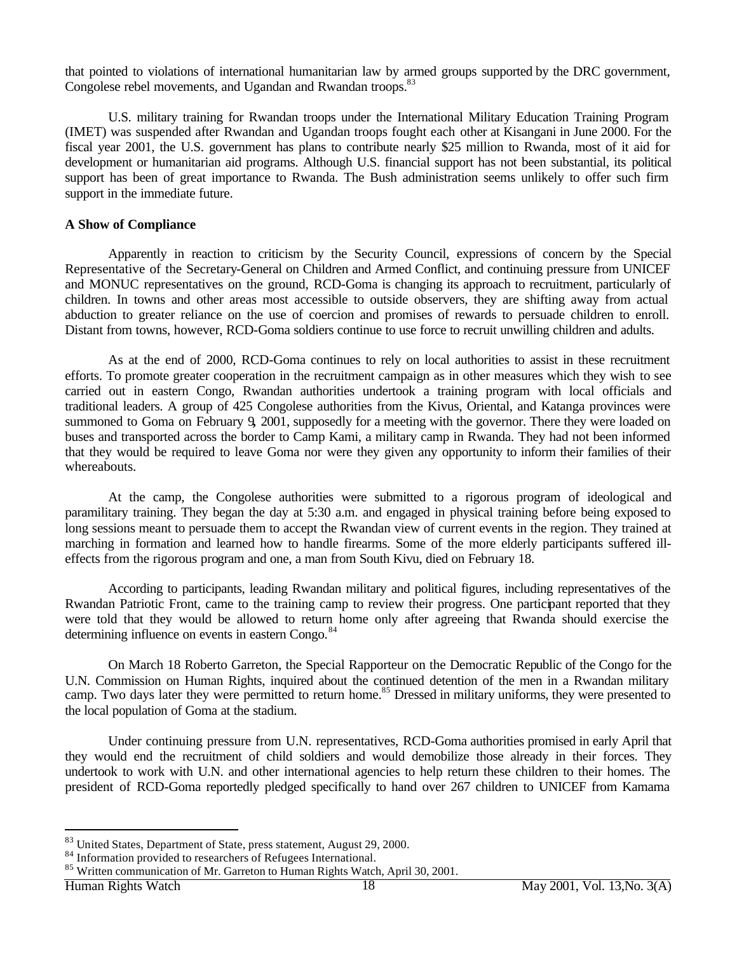that pointed to violations of international humanitarian law by armed groups supported by the DRC government, Congolese rebel movements, and Ugandan and Rwandan troops.<sup>83</sup>

U.S. military training for Rwandan troops under the International Military Education Training Program (IMET) was suspended after Rwandan and Ugandan troops fought each other at Kisangani in June 2000. For the fiscal year 2001, the U.S. government has plans to contribute nearly \$25 million to Rwanda, most of it aid for development or humanitarian aid programs. Although U.S. financial support has not been substantial, its political support has been of great importance to Rwanda. The Bush administration seems unlikely to offer such firm support in the immediate future.

# **A Show of Compliance**

Apparently in reaction to criticism by the Security Council, expressions of concern by the Special Representative of the Secretary-General on Children and Armed Conflict, and continuing pressure from UNICEF and MONUC representatives on the ground, RCD-Goma is changing its approach to recruitment, particularly of children. In towns and other areas most accessible to outside observers, they are shifting away from actual abduction to greater reliance on the use of coercion and promises of rewards to persuade children to enroll. Distant from towns, however, RCD-Goma soldiers continue to use force to recruit unwilling children and adults.

As at the end of 2000, RCD-Goma continues to rely on local authorities to assist in these recruitment efforts. To promote greater cooperation in the recruitment campaign as in other measures which they wish to see carried out in eastern Congo, Rwandan authorities undertook a training program with local officials and traditional leaders. A group of 425 Congolese authorities from the Kivus, Oriental, and Katanga provinces were summoned to Goma on February 9**,** 2001, supposedly for a meeting with the governor. There they were loaded on buses and transported across the border to Camp Kami, a military camp in Rwanda. They had not been informed that they would be required to leave Goma nor were they given any opportunity to inform their families of their whereabouts.

At the camp, the Congolese authorities were submitted to a rigorous program of ideological and paramilitary training. They began the day at 5:30 a.m. and engaged in physical training before being exposed to long sessions meant to persuade them to accept the Rwandan view of current events in the region. They trained at marching in formation and learned how to handle firearms. Some of the more elderly participants suffered illeffects from the rigorous program and one, a man from South Kivu, died on February 18.

According to participants, leading Rwandan military and political figures, including representatives of the Rwandan Patriotic Front, came to the training camp to review their progress. One participant reported that they were told that they would be allowed to return home only after agreeing that Rwanda should exercise the determining influence on events in eastern Congo.<sup>84</sup>

On March 18 Roberto Garreton, the Special Rapporteur on the Democratic Republic of the Congo for the U.N. Commission on Human Rights, inquired about the continued detention of the men in a Rwandan military camp. Two days later they were permitted to return home.<sup>85</sup> Dressed in military uniforms, they were presented to the local population of Goma at the stadium.

Under continuing pressure from U.N. representatives, RCD-Goma authorities promised in early April that they would end the recruitment of child soldiers and would demobilize those already in their forces. They undertook to work with U.N. and other international agencies to help return these children to their homes. The president of RCD-Goma reportedly pledged specifically to hand over 267 children to UNICEF from Kamama

<sup>83</sup> United States, Department of State, press statement, August 29, 2000.

<sup>84</sup> Information provided to researchers of Refugees International.

<sup>&</sup>lt;sup>85</sup> Written communication of Mr. Garreton to Human Rights Watch, April 30, 2001.